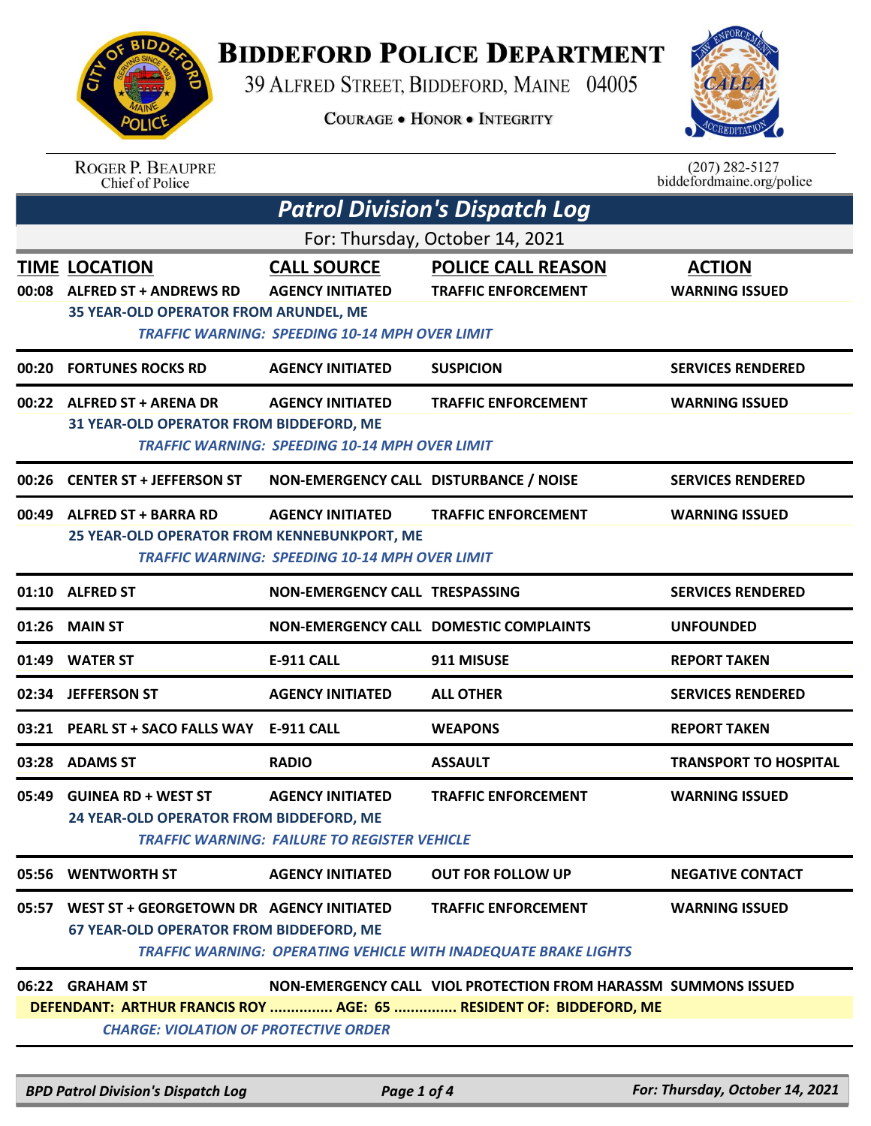

## **BIDDEFORD POLICE DEPARTMENT**

39 ALFRED STREET, BIDDEFORD, MAINE 04005

**COURAGE . HONOR . INTEGRITY** 



## ROGER P. BEAUPRE<br>Chief of Police

 $(207)$  282-5127 biddefordmaine.org/police

|                                 | <b>Patrol Division's Dispatch Log</b>                                                                |                                                                                                        |                                                                                                                                      |                                        |  |  |
|---------------------------------|------------------------------------------------------------------------------------------------------|--------------------------------------------------------------------------------------------------------|--------------------------------------------------------------------------------------------------------------------------------------|----------------------------------------|--|--|
| For: Thursday, October 14, 2021 |                                                                                                      |                                                                                                        |                                                                                                                                      |                                        |  |  |
|                                 | <b>TIME LOCATION</b><br>00:08 ALFRED ST + ANDREWS RD<br><b>35 YEAR-OLD OPERATOR FROM ARUNDEL, ME</b> | <b>CALL SOURCE</b><br><b>AGENCY INITIATED</b><br><b>TRAFFIC WARNING: SPEEDING 10-14 MPH OVER LIMIT</b> | <b>POLICE CALL REASON</b><br><b>TRAFFIC ENFORCEMENT</b>                                                                              | <b>ACTION</b><br><b>WARNING ISSUED</b> |  |  |
| 00:20                           | <b>FORTUNES ROCKS RD</b>                                                                             | <b>AGENCY INITIATED</b>                                                                                | <b>SUSPICION</b>                                                                                                                     | <b>SERVICES RENDERED</b>               |  |  |
|                                 | 00:22 ALFRED ST + ARENA DR<br>31 YEAR-OLD OPERATOR FROM BIDDEFORD, ME                                | <b>AGENCY INITIATED</b><br><b>TRAFFIC WARNING: SPEEDING 10-14 MPH OVER LIMIT</b>                       | <b>TRAFFIC ENFORCEMENT</b>                                                                                                           | <b>WARNING ISSUED</b>                  |  |  |
|                                 | 00:26 CENTER ST + JEFFERSON ST                                                                       | NON-EMERGENCY CALL DISTURBANCE / NOISE                                                                 |                                                                                                                                      | <b>SERVICES RENDERED</b>               |  |  |
| 00:49                           | <b>ALFRED ST + BARRA RD</b><br>25 YEAR-OLD OPERATOR FROM KENNEBUNKPORT, ME                           | <b>AGENCY INITIATED</b><br><b>TRAFFIC WARNING: SPEEDING 10-14 MPH OVER LIMIT</b>                       | <b>TRAFFIC ENFORCEMENT</b>                                                                                                           | <b>WARNING ISSUED</b>                  |  |  |
| 01:10                           | <b>ALFRED ST</b>                                                                                     | NON-EMERGENCY CALL TRESPASSING                                                                         |                                                                                                                                      | <b>SERVICES RENDERED</b>               |  |  |
| 01:26                           | <b>MAIN ST</b>                                                                                       |                                                                                                        | <b>NON-EMERGENCY CALL DOMESTIC COMPLAINTS</b>                                                                                        | <b>UNFOUNDED</b>                       |  |  |
| 01:49                           | <b>WATER ST</b>                                                                                      | <b>E-911 CALL</b>                                                                                      | 911 MISUSE                                                                                                                           | <b>REPORT TAKEN</b>                    |  |  |
| 02:34                           | <b>JEFFERSON ST</b>                                                                                  | <b>AGENCY INITIATED</b>                                                                                | <b>ALL OTHER</b>                                                                                                                     | <b>SERVICES RENDERED</b>               |  |  |
|                                 | 03:21 PEARL ST + SACO FALLS WAY E-911 CALL                                                           |                                                                                                        | <b>WEAPONS</b>                                                                                                                       | <b>REPORT TAKEN</b>                    |  |  |
| 03:28                           | <b>ADAMS ST</b>                                                                                      | <b>RADIO</b>                                                                                           | <b>ASSAULT</b>                                                                                                                       | <b>TRANSPORT TO HOSPITAL</b>           |  |  |
| 05:49                           | <b>GUINEA RD + WEST ST</b><br>24 YEAR-OLD OPERATOR FROM BIDDEFORD, ME                                | <b>AGENCY INITIATED</b><br><b>TRAFFIC WARNING: FAILURE TO REGISTER VEHICLE</b>                         | <b>TRAFFIC ENFORCEMENT</b>                                                                                                           | <b>WARNING ISSUED</b>                  |  |  |
| 05:56                           | <b>WENTWORTH ST</b>                                                                                  | <b>AGENCY INITIATED</b>                                                                                | <b>OUT FOR FOLLOW UP</b>                                                                                                             | <b>NEGATIVE CONTACT</b>                |  |  |
|                                 | 05:57 WEST ST + GEORGETOWN DR AGENCY INITIATED<br>67 YEAR-OLD OPERATOR FROM BIDDEFORD, ME            |                                                                                                        | <b>TRAFFIC ENFORCEMENT</b><br>TRAFFIC WARNING: OPERATING VEHICLE WITH INADEQUATE BRAKE LIGHTS                                        | <b>WARNING ISSUED</b>                  |  |  |
|                                 | 06:22 GRAHAM ST<br><b>CHARGE: VIOLATION OF PROTECTIVE ORDER</b>                                      |                                                                                                        | NON-EMERGENCY CALL VIOL PROTECTION FROM HARASSM SUMMONS ISSUED<br>DEFENDANT: ARTHUR FRANCIS ROY  AGE: 65  RESIDENT OF: BIDDEFORD, ME |                                        |  |  |
|                                 |                                                                                                      |                                                                                                        |                                                                                                                                      |                                        |  |  |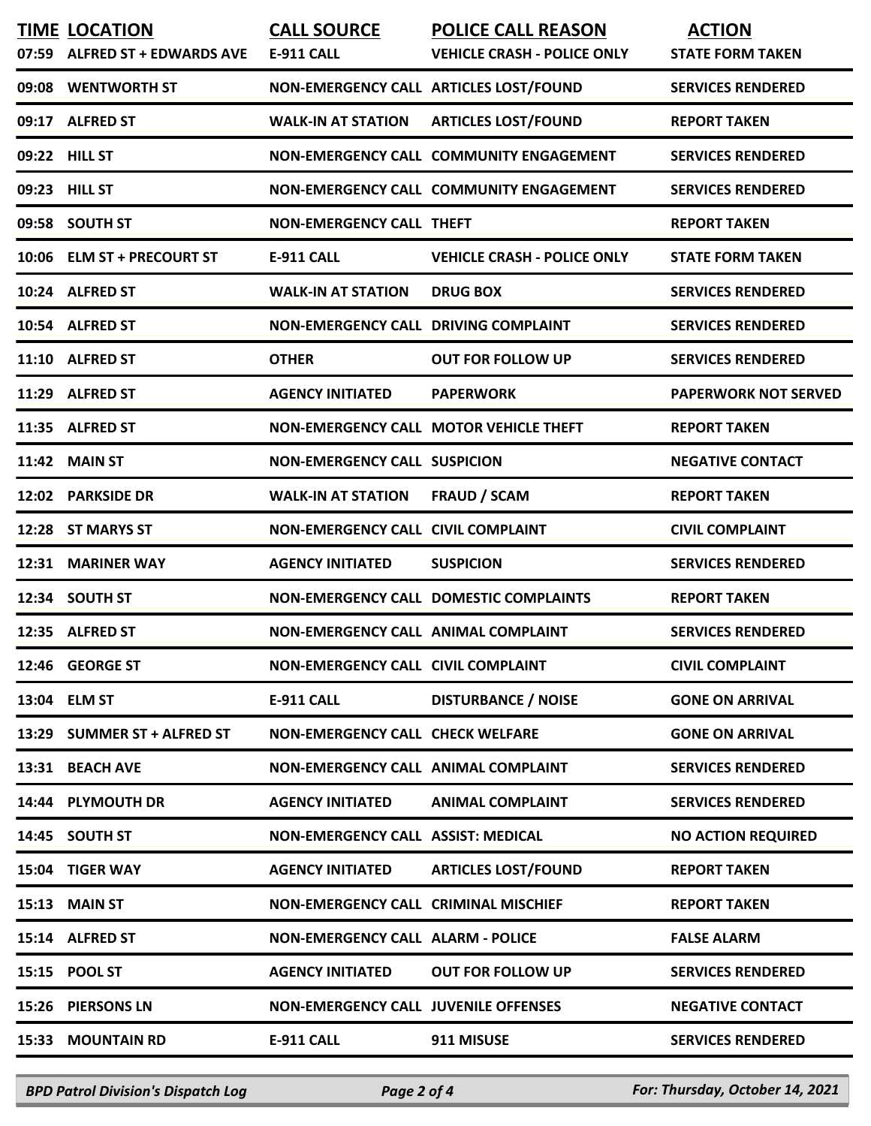| <b>TIME LOCATION</b><br>07:59 ALFRED ST + EDWARDS AVE | <b>CALL SOURCE</b><br>E-911 CALL            | <b>POLICE CALL REASON</b><br><b>VEHICLE CRASH - POLICE ONLY</b> | <b>ACTION</b><br><b>STATE FORM TAKEN</b> |
|-------------------------------------------------------|---------------------------------------------|-----------------------------------------------------------------|------------------------------------------|
| 09:08 WENTWORTH ST                                    |                                             | NON-EMERGENCY CALL ARTICLES LOST/FOUND                          | <b>SERVICES RENDERED</b>                 |
| 09:17 ALFRED ST                                       | <b>WALK-IN AT STATION</b>                   | <b>ARTICLES LOST/FOUND</b>                                      | <b>REPORT TAKEN</b>                      |
| 09:22 HILL ST                                         |                                             | NON-EMERGENCY CALL COMMUNITY ENGAGEMENT                         | <b>SERVICES RENDERED</b>                 |
| 09:23 HILL ST                                         |                                             | NON-EMERGENCY CALL COMMUNITY ENGAGEMENT                         | <b>SERVICES RENDERED</b>                 |
| 09:58 SOUTH ST                                        | <b>NON-EMERGENCY CALL THEFT</b>             |                                                                 | <b>REPORT TAKEN</b>                      |
| 10:06 ELM ST + PRECOURT ST                            | E-911 CALL                                  | <b>VEHICLE CRASH - POLICE ONLY</b>                              | <b>STATE FORM TAKEN</b>                  |
| 10:24 ALFRED ST                                       | <b>WALK-IN AT STATION</b>                   | <b>DRUG BOX</b>                                                 | <b>SERVICES RENDERED</b>                 |
| 10:54 ALFRED ST                                       | <b>NON-EMERGENCY CALL DRIVING COMPLAINT</b> |                                                                 | <b>SERVICES RENDERED</b>                 |
| 11:10 ALFRED ST                                       | <b>OTHER</b>                                | <b>OUT FOR FOLLOW UP</b>                                        | <b>SERVICES RENDERED</b>                 |
| 11:29 ALFRED ST                                       | <b>AGENCY INITIATED</b>                     | <b>PAPERWORK</b>                                                | <b>PAPERWORK NOT SERVED</b>              |
| 11:35 ALFRED ST                                       |                                             | NON-EMERGENCY CALL MOTOR VEHICLE THEFT                          | <b>REPORT TAKEN</b>                      |
| 11:42 MAIN ST                                         | <b>NON-EMERGENCY CALL SUSPICION</b>         |                                                                 | <b>NEGATIVE CONTACT</b>                  |
| 12:02 PARKSIDE DR                                     | <b>WALK-IN AT STATION</b>                   | <b>FRAUD / SCAM</b>                                             | <b>REPORT TAKEN</b>                      |
| 12:28 ST MARYS ST                                     | NON-EMERGENCY CALL CIVIL COMPLAINT          |                                                                 | <b>CIVIL COMPLAINT</b>                   |
| 12:31 MARINER WAY                                     | <b>AGENCY INITIATED</b>                     | <b>SUSPICION</b>                                                | <b>SERVICES RENDERED</b>                 |
| 12:34 SOUTH ST                                        |                                             | NON-EMERGENCY CALL DOMESTIC COMPLAINTS                          | <b>REPORT TAKEN</b>                      |
| 12:35 ALFRED ST                                       | NON-EMERGENCY CALL ANIMAL COMPLAINT         |                                                                 | <b>SERVICES RENDERED</b>                 |
| 12:46 GEORGE ST                                       | <b>NON-EMERGENCY CALL CIVIL COMPLAINT</b>   |                                                                 | <b>CIVIL COMPLAINT</b>                   |
| 13:04 ELM ST                                          | E-911 CALL                                  | <b>DISTURBANCE / NOISE</b>                                      | <b>GONE ON ARRIVAL</b>                   |
| 13:29 SUMMER ST + ALFRED ST                           | <b>NON-EMERGENCY CALL CHECK WELFARE</b>     |                                                                 | <b>GONE ON ARRIVAL</b>                   |
| 13:31 BEACH AVE                                       | NON-EMERGENCY CALL ANIMAL COMPLAINT         |                                                                 | <b>SERVICES RENDERED</b>                 |
| 14:44 PLYMOUTH DR                                     | <b>AGENCY INITIATED</b>                     | <b>ANIMAL COMPLAINT</b>                                         | <b>SERVICES RENDERED</b>                 |
| 14:45 SOUTH ST                                        | NON-EMERGENCY CALL ASSIST: MEDICAL          |                                                                 | <b>NO ACTION REQUIRED</b>                |
| 15:04 TIGER WAY                                       | <b>AGENCY INITIATED</b>                     | <b>ARTICLES LOST/FOUND</b>                                      | <b>REPORT TAKEN</b>                      |
| 15:13 MAIN ST                                         | <b>NON-EMERGENCY CALL CRIMINAL MISCHIEF</b> |                                                                 | <b>REPORT TAKEN</b>                      |
| 15:14 ALFRED ST                                       | <b>NON-EMERGENCY CALL ALARM - POLICE</b>    |                                                                 | <b>FALSE ALARM</b>                       |
| 15:15 POOL ST                                         | <b>AGENCY INITIATED</b>                     | <b>OUT FOR FOLLOW UP</b>                                        | <b>SERVICES RENDERED</b>                 |
| 15:26 PIERSONS LN                                     | <b>NON-EMERGENCY CALL JUVENILE OFFENSES</b> |                                                                 | <b>NEGATIVE CONTACT</b>                  |
| 15:33 MOUNTAIN RD                                     | E-911 CALL                                  | 911 MISUSE                                                      | <b>SERVICES RENDERED</b>                 |
|                                                       |                                             |                                                                 |                                          |

*BPD Patrol Division's Dispatch Log Page 2 of 4 For: Thursday, October 14, 2021*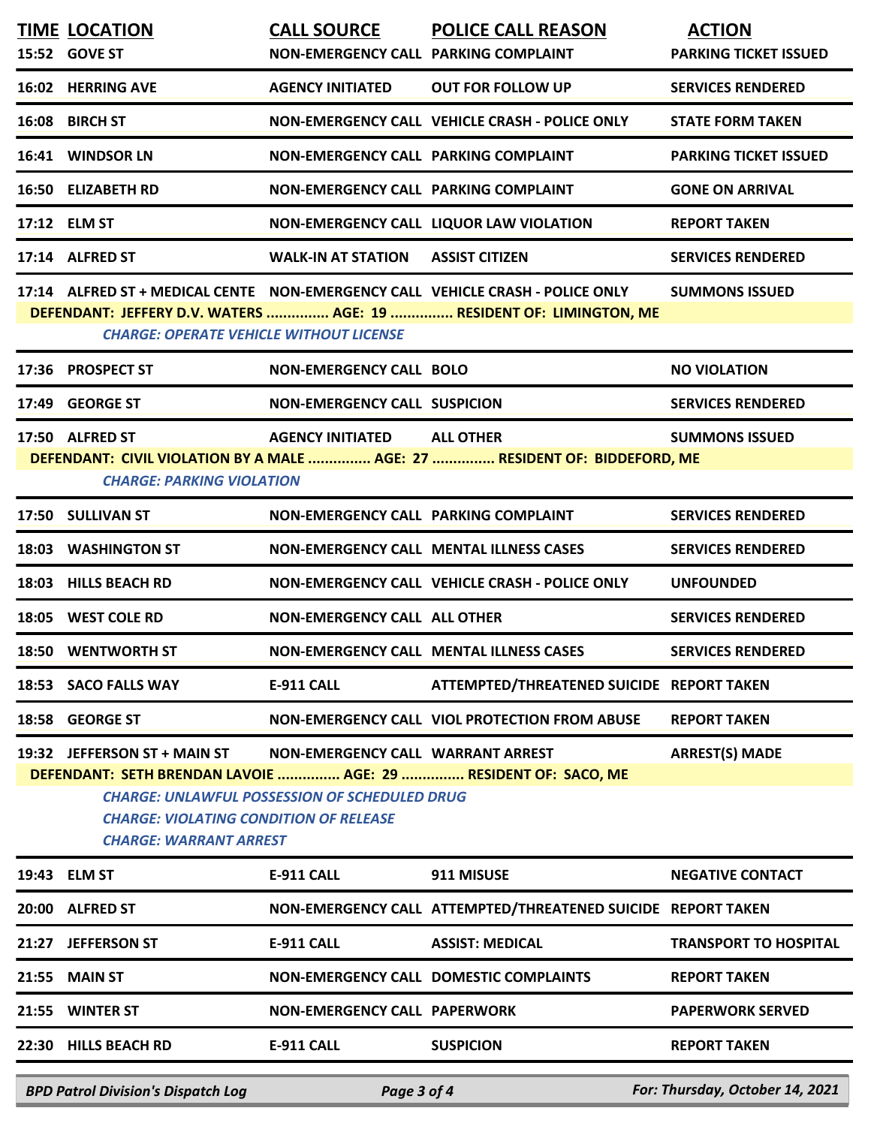|                                                                                                                                        | <b>BPD Patrol Division's Dispatch Log</b>      | Page 3 of 4                                                |                                                                                | For: Thursday, October 14, 2021               |  |
|----------------------------------------------------------------------------------------------------------------------------------------|------------------------------------------------|------------------------------------------------------------|--------------------------------------------------------------------------------|-----------------------------------------------|--|
|                                                                                                                                        | 22:30 HILLS BEACH RD                           | <b>E-911 CALL</b>                                          | <b>SUSPICION</b>                                                               | <b>REPORT TAKEN</b>                           |  |
| 21:55                                                                                                                                  | <b>WINTER ST</b>                               | <b>NON-EMERGENCY CALL PAPERWORK</b>                        |                                                                                | <b>PAPERWORK SERVED</b>                       |  |
| 21:55                                                                                                                                  | <b>MAIN ST</b>                                 |                                                            | NON-EMERGENCY CALL DOMESTIC COMPLAINTS                                         | <b>REPORT TAKEN</b>                           |  |
| 21:27                                                                                                                                  | <b>JEFFERSON ST</b>                            | <b>E-911 CALL</b>                                          | <b>ASSIST: MEDICAL</b>                                                         | <b>TRANSPORT TO HOSPITAL</b>                  |  |
|                                                                                                                                        | 20:00 ALFRED ST                                |                                                            | NON-EMERGENCY CALL ATTEMPTED/THREATENED SUICIDE REPORT TAKEN                   |                                               |  |
|                                                                                                                                        | 19:43 ELM ST                                   | <b>E-911 CALL</b>                                          | 911 MISUSE                                                                     | <b>NEGATIVE CONTACT</b>                       |  |
| <b>CHARGE: UNLAWFUL POSSESSION OF SCHEDULED DRUG</b><br><b>CHARGE: VIOLATING CONDITION OF RELEASE</b><br><b>CHARGE: WARRANT ARREST</b> |                                                |                                                            |                                                                                |                                               |  |
|                                                                                                                                        | 19:32 JEFFERSON ST + MAIN ST                   | NON-EMERGENCY CALL WARRANT ARREST                          | DEFENDANT: SETH BRENDAN LAVOIE  AGE: 29  RESIDENT OF: SACO, ME                 | <b>ARREST(S) MADE</b>                         |  |
|                                                                                                                                        | 18:58 GEORGE ST                                |                                                            | NON-EMERGENCY CALL VIOL PROTECTION FROM ABUSE                                  | <b>REPORT TAKEN</b>                           |  |
|                                                                                                                                        | 18:53 SACO FALLS WAY                           | E-911 CALL                                                 | ATTEMPTED/THREATENED SUICIDE REPORT TAKEN                                      |                                               |  |
|                                                                                                                                        | 18:50 WENTWORTH ST                             |                                                            | NON-EMERGENCY CALL MENTAL ILLNESS CASES                                        | <b>SERVICES RENDERED</b>                      |  |
|                                                                                                                                        | 18:05 WEST COLE RD                             | <b>NON-EMERGENCY CALL ALL OTHER</b>                        |                                                                                | <b>SERVICES RENDERED</b>                      |  |
| 18:03                                                                                                                                  | <b>HILLS BEACH RD</b>                          |                                                            | NON-EMERGENCY CALL VEHICLE CRASH - POLICE ONLY                                 | <b>UNFOUNDED</b>                              |  |
|                                                                                                                                        | 18:03 WASHINGTON ST                            |                                                            | <b>NON-EMERGENCY CALL MENTAL ILLNESS CASES</b>                                 | <b>SERVICES RENDERED</b>                      |  |
|                                                                                                                                        | 17:50 SULLIVAN ST                              | NON-EMERGENCY CALL PARKING COMPLAINT                       |                                                                                | <b>SERVICES RENDERED</b>                      |  |
|                                                                                                                                        | <b>CHARGE: PARKING VIOLATION</b>               |                                                            | DEFENDANT: CIVIL VIOLATION BY A MALE  AGE: 27  RESIDENT OF: BIDDEFORD, ME      |                                               |  |
|                                                                                                                                        | 17:50 ALFRED ST                                | AGENCY INITIATED ALL OTHER                                 |                                                                                | <b>SUMMONS ISSUED</b>                         |  |
|                                                                                                                                        | 17:49 GEORGE ST                                | <b>NON-EMERGENCY CALL SUSPICION</b>                        |                                                                                | <b>SERVICES RENDERED</b>                      |  |
|                                                                                                                                        | 17:36 PROSPECT ST                              | <b>NON-EMERGENCY CALL BOLO</b>                             |                                                                                | <b>NO VIOLATION</b>                           |  |
|                                                                                                                                        | <b>CHARGE: OPERATE VEHICLE WITHOUT LICENSE</b> |                                                            | DEFENDANT: JEFFERY D.V. WATERS  AGE: 19  RESIDENT OF: LIMINGTON, ME            |                                               |  |
|                                                                                                                                        |                                                |                                                            | 17:14 ALFRED ST + MEDICAL CENTE NON-EMERGENCY CALL VEHICLE CRASH - POLICE ONLY | <b>SUMMONS ISSUED</b>                         |  |
|                                                                                                                                        | 17:14 ALFRED ST                                | <b>WALK-IN AT STATION ASSIST CITIZEN</b>                   |                                                                                | <b>SERVICES RENDERED</b>                      |  |
|                                                                                                                                        | 17:12 ELM ST                                   |                                                            | NON-EMERGENCY CALL LIQUOR LAW VIOLATION                                        | <b>REPORT TAKEN</b>                           |  |
|                                                                                                                                        | <b>16:50 ELIZABETH RD</b>                      | NON-EMERGENCY CALL PARKING COMPLAINT                       |                                                                                | <b>GONE ON ARRIVAL</b>                        |  |
|                                                                                                                                        | 16:41 WINDSOR LN                               | NON-EMERGENCY CALL PARKING COMPLAINT                       |                                                                                | <b>PARKING TICKET ISSUED</b>                  |  |
|                                                                                                                                        | 16:08 BIRCH ST                                 |                                                            | NON-EMERGENCY CALL VEHICLE CRASH - POLICE ONLY                                 | <b>STATE FORM TAKEN</b>                       |  |
|                                                                                                                                        | 16:02 HERRING AVE                              | <b>AGENCY INITIATED</b>                                    | <b>OUT FOR FOLLOW UP</b>                                                       | <b>SERVICES RENDERED</b>                      |  |
|                                                                                                                                        | <b>TIME LOCATION</b><br>15:52 GOVE ST          | <b>CALL SOURCE</b><br>NON-EMERGENCY CALL PARKING COMPLAINT | <b>POLICE CALL REASON</b>                                                      | <b>ACTION</b><br><b>PARKING TICKET ISSUED</b> |  |